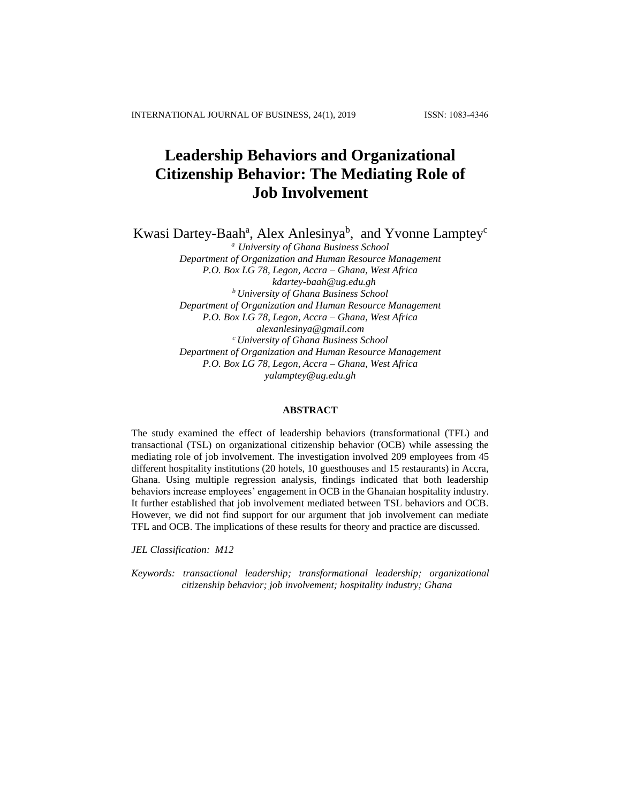# **Leadership Behaviors and Organizational Citizenship Behavior: The Mediating Role of Job Involvement**

Kwasi Dartey-Baah<sup>a</sup>, Alex Anlesinya<sup>b</sup>, and Yvonne Lamptey<sup>c</sup>

*<sup>a</sup> University of Ghana Business School Department of Organization and Human Resource Management P.O. Box LG 78, Legon, Accra – Ghana, West Africa [kdartey-baah@ug.edu.gh](mailto:kdartey-baah@ug.edu.gh) <sup>b</sup>University of Ghana Business School Department of Organization and Human Resource Management P.O. Box LG 78, Legon, Accra – Ghana, West Africa alexanlesinya@gmail.com <sup>c</sup>University of Ghana Business School Department of Organization and Human Resource Management P.O. Box LG 78, Legon, Accra – Ghana, West Africa yalamptey@ug.edu.gh*

# **ABSTRACT**

The study examined the effect of leadership behaviors (transformational (TFL) and transactional (TSL) on organizational citizenship behavior (OCB) while assessing the mediating role of job involvement. The investigation involved 209 employees from 45 different hospitality institutions (20 hotels, 10 guesthouses and 15 restaurants) in Accra, Ghana. Using multiple regression analysis, findings indicated that both leadership behaviors increase employees' engagement in OCB in the Ghanaian hospitality industry. It further established that job involvement mediated between TSL behaviors and OCB. However, we did not find support for our argument that job involvement can mediate TFL and OCB. The implications of these results for theory and practice are discussed.

*JEL Classification: M12*

*Keywords: transactional leadership; transformational leadership; organizational citizenship behavior; job involvement; hospitality industry; Ghana*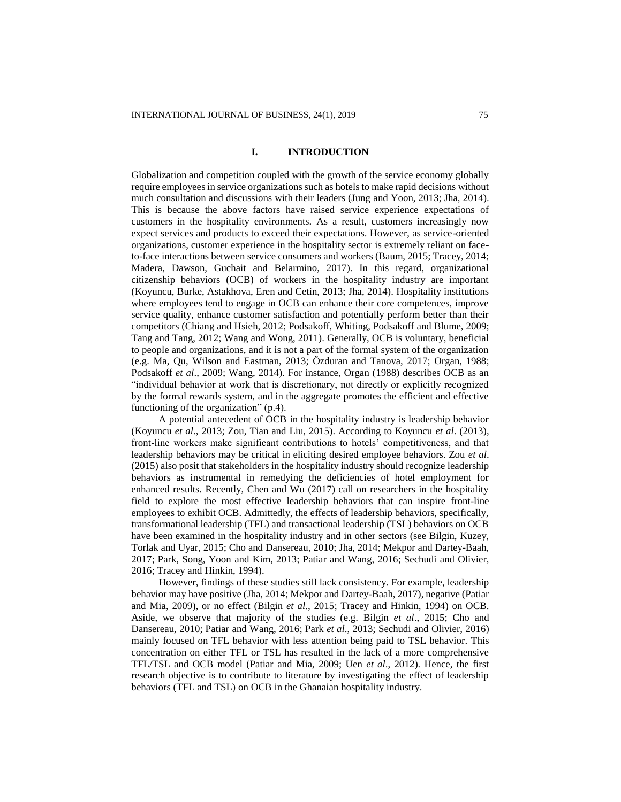# **I. INTRODUCTION**

Globalization and competition coupled with the growth of the service economy globally require employees in service organizations such as hotels to make rapid decisions without much consultation and discussions with their leaders (Jung and Yoon, 2013; Jha, 2014). This is because the above factors have raised service experience expectations of customers in the hospitality environments. As a result, customers increasingly now expect services and products to exceed their expectations. However, as service-oriented organizations, customer experience in the hospitality sector is extremely reliant on faceto-face interactions between service consumers and workers (Baum, 2015; Tracey, 2014; Madera, Dawson, Guchait and Belarmino, 2017). In this regard, organizational citizenship behaviors (OCB) of workers in the hospitality industry are important (Koyuncu, Burke, Astakhova, Eren and Cetin, 2013; Jha, 2014). Hospitality institutions where employees tend to engage in OCB can enhance their core competences, improve service quality, enhance customer satisfaction and potentially perform better than their competitors (Chiang and Hsieh, 2012; Podsakoff, Whiting, Podsakoff and Blume, 2009; Tang and Tang, 2012; Wang and Wong, 2011). Generally, OCB is voluntary, beneficial to people and organizations, and it is not a part of the formal system of the organization (e.g. Ma, Qu, Wilson and Eastman, 2013; Özduran and Tanova, 2017; Organ, 1988; Podsakoff *et al*., 2009; Wang, 2014). For instance, Organ (1988) describes OCB as an "individual behavior at work that is discretionary, not directly or explicitly recognized by the formal rewards system, and in the aggregate promotes the efficient and effective functioning of the organization" (p.4).

A potential antecedent of OCB in the hospitality industry is leadership behavior (Koyuncu *et al*., 2013; Zou, Tian and Liu, 2015). According to Koyuncu *et al*. (2013), front-line workers make significant contributions to hotels' competitiveness, and that leadership behaviors may be critical in eliciting desired employee behaviors. Zou *et al*. (2015) also posit that stakeholders in the hospitality industry should recognize leadership behaviors as instrumental in remedying the deficiencies of hotel employment for enhanced results. Recently, Chen and Wu (2017) call on researchers in the hospitality field to explore the most effective leadership behaviors that can inspire front-line employees to exhibit OCB. Admittedly, the effects of leadership behaviors, specifically, transformational leadership (TFL) and transactional leadership (TSL) behaviors on OCB have been examined in the hospitality industry and in other sectors (see Bilgin, Kuzey, Torlak and Uyar, 2015; Cho and Dansereau, 2010; Jha, 2014; Mekpor and Dartey-Baah, 2017; Park, Song, Yoon and Kim, 2013; Patiar and Wang, 2016; Sechudi and Olivier, 2016; Tracey and Hinkin, 1994).

However, findings of these studies still lack consistency. For example, leadership behavior may have positive (Jha, 2014; Mekpor and Dartey-Baah, 2017), negative (Patiar and Mia, 2009), or no effect (Bilgin *et al*., 2015; Tracey and Hinkin, 1994) on OCB. Aside, we observe that majority of the studies (e.g. Bilgin *et al*., 2015; Cho and Dansereau, 2010; Patiar and Wang, 2016; Park *et al*., 2013; Sechudi and Olivier, 2016) mainly focused on TFL behavior with less attention being paid to TSL behavior. This concentration on either TFL or TSL has resulted in the lack of a more comprehensive TFL/TSL and OCB model (Patiar and Mia, 2009; Uen *et al*., 2012). Hence, the first research objective is to contribute to literature by investigating the effect of leadership behaviors (TFL and TSL) on OCB in the Ghanaian hospitality industry.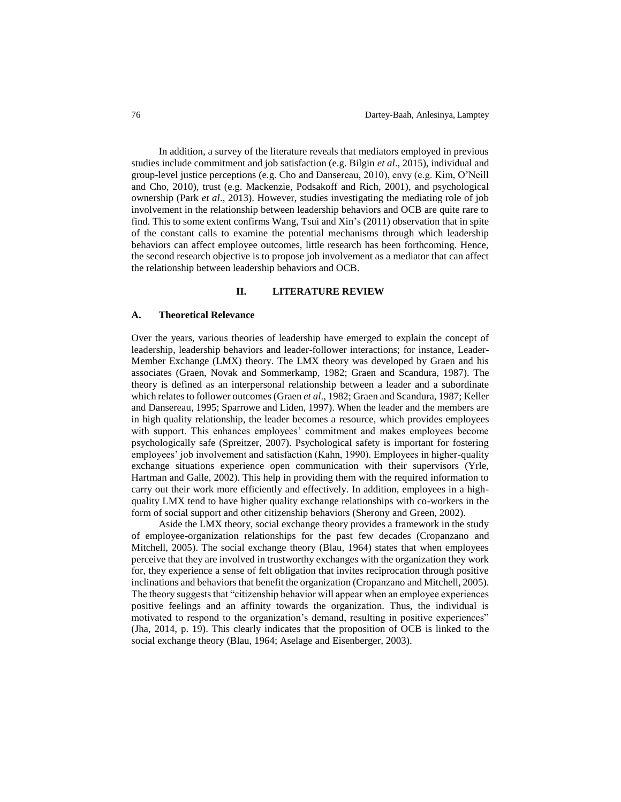In addition, a survey of the literature reveals that mediators employed in previous studies include commitment and job satisfaction (e.g. Bilgin *et al*., 2015), individual and group-level justice perceptions (e.g. Cho and Dansereau, 2010), envy (e.g. Kim, O'Neill and Cho, 2010), trust (e.g. Mackenzie, Podsakoff and Rich, 2001), and psychological ownership (Park *et al*., 2013). However, studies investigating the mediating role of job involvement in the relationship between leadership behaviors and OCB are quite rare to find. This to some extent confirms Wang, Tsui and Xin's (2011) observation that in spite of the constant calls to examine the potential mechanisms through which leadership behaviors can affect employee outcomes, little research has been forthcoming. Hence, the second research objective is to propose job involvement as a mediator that can affect the relationship between leadership behaviors and OCB.

# **II. LITERATURE REVIEW**

#### **A. Theoretical Relevance**

Over the years, various theories of leadership have emerged to explain the concept of leadership, leadership behaviors and leader-follower interactions; for instance, Leader-Member Exchange (LMX) theory. The LMX theory was developed by Graen and his associates (Graen, Novak and Sommerkamp, 1982; Graen and Scandura, 1987). The theory is defined as an interpersonal relationship between a leader and a subordinate which relates to follower outcomes (Graen *et al*., 1982; Graen and Scandura, 1987; Keller and Dansereau, 1995; Sparrowe and Liden, 1997). When the leader and the members are in high quality relationship, the leader becomes a resource, which provides employees with support. This enhances employees' commitment and makes employees become psychologically safe (Spreitzer, 2007). Psychological safety is important for fostering employees' job involvement and satisfaction (Kahn, 1990). Employees in higher-quality exchange situations experience open communication with their supervisors (Yrle, Hartman and Galle, 2002). This help in providing them with the required information to carry out their work more efficiently and effectively. In addition, employees in a highquality LMX tend to have higher quality exchange relationships with co-workers in the form of social support and other citizenship behaviors (Sherony and Green, 2002).

Aside the LMX theory, social exchange theory provides a framework in the study of employee-organization relationships for the past few decades (Cropanzano and Mitchell, 2005). The social exchange theory (Blau, 1964) states that when employees perceive that they are involved in trustworthy exchanges with the organization they work for, they experience a sense of felt obligation that invites reciprocation through positive inclinations and behaviors that benefit the organization (Cropanzano and Mitchell, 2005). The theory suggests that "citizenship behavior will appear when an employee experiences positive feelings and an affinity towards the organization. Thus, the individual is motivated to respond to the organization's demand, resulting in positive experiences" (Jha, 2014, p. 19). This clearly indicates that the proposition of OCB is linked to the social exchange theory (Blau, 1964; Aselage and Eisenberger, 2003).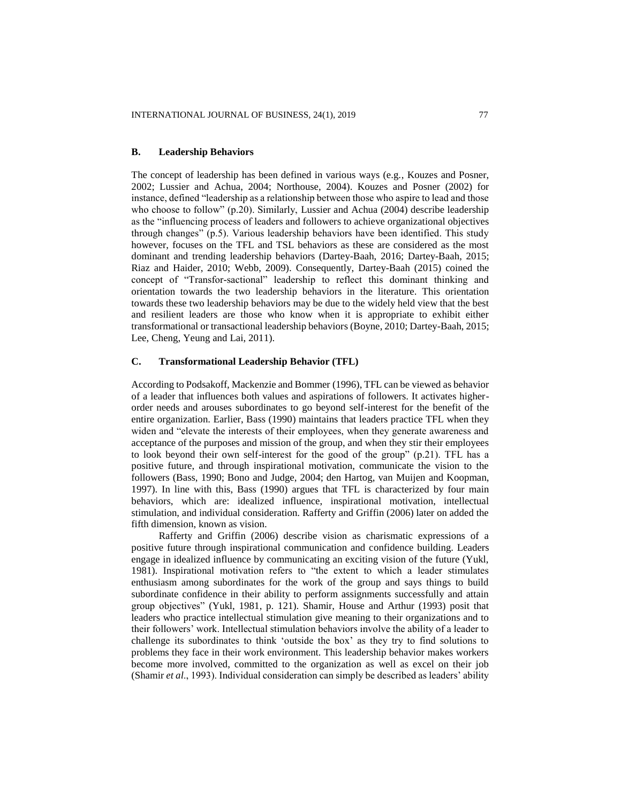# **B. Leadership Behaviors**

The concept of leadership has been defined in various ways (e.g., Kouzes and Posner, 2002; Lussier and Achua, 2004; Northouse, 2004). Kouzes and Posner (2002) for instance, defined "leadership as a relationship between those who aspire to lead and those who choose to follow" (p.20). Similarly, Lussier and Achua (2004) describe leadership as the "influencing process of leaders and followers to achieve organizational objectives through changes" (p.5). Various leadership behaviors have been identified. This study however, focuses on the TFL and TSL behaviors as these are considered as the most dominant and trending leadership behaviors (Dartey-Baah, 2016; Dartey-Baah, 2015; Riaz and Haider, 2010; Webb, 2009). Consequently, Dartey-Baah (2015) coined the concept of "Transfor-sactional" leadership to reflect this dominant thinking and orientation towards the two leadership behaviors in the literature. This orientation towards these two leadership behaviors may be due to the widely held view that the best and resilient leaders are those who know when it is appropriate to exhibit either transformational or transactional leadership behaviors (Boyne, 2010; Dartey-Baah, 2015; Lee, Cheng, Yeung and Lai, 2011).

# **C. Transformational Leadership Behavior (TFL)**

According to Podsakoff, Mackenzie and Bommer (1996), TFL can be viewed as behavior of a leader that influences both values and aspirations of followers. It activates higherorder needs and arouses subordinates to go beyond self-interest for the benefit of the entire organization. Earlier, Bass (1990) maintains that leaders practice TFL when they widen and "elevate the interests of their employees, when they generate awareness and acceptance of the purposes and mission of the group, and when they stir their employees to look beyond their own self-interest for the good of the group" (p.21). TFL has a positive future, and through inspirational motivation, communicate the vision to the followers (Bass, 1990; Bono and Judge, 2004; den Hartog, van Muijen and Koopman, 1997). In line with this, Bass (1990) argues that TFL is characterized by four main behaviors, which are: idealized influence, inspirational motivation, intellectual stimulation, and individual consideration. Rafferty and Griffin (2006) later on added the fifth dimension, known as vision.

Rafferty and Griffin (2006) describe vision as charismatic expressions of a positive future through inspirational communication and confidence building. Leaders engage in idealized influence by communicating an exciting vision of the future (Yukl, 1981). Inspirational motivation refers to "the extent to which a leader stimulates enthusiasm among subordinates for the work of the group and says things to build subordinate confidence in their ability to perform assignments successfully and attain group objectives" (Yukl, 1981, p. 121). Shamir, House and Arthur (1993) posit that leaders who practice intellectual stimulation give meaning to their organizations and to their followers' work. Intellectual stimulation behaviors involve the ability of a leader to challenge its subordinates to think 'outside the box' as they try to find solutions to problems they face in their work environment. This leadership behavior makes workers become more involved, committed to the organization as well as excel on their job (Shamir *et al*., 1993). Individual consideration can simply be described as leaders' ability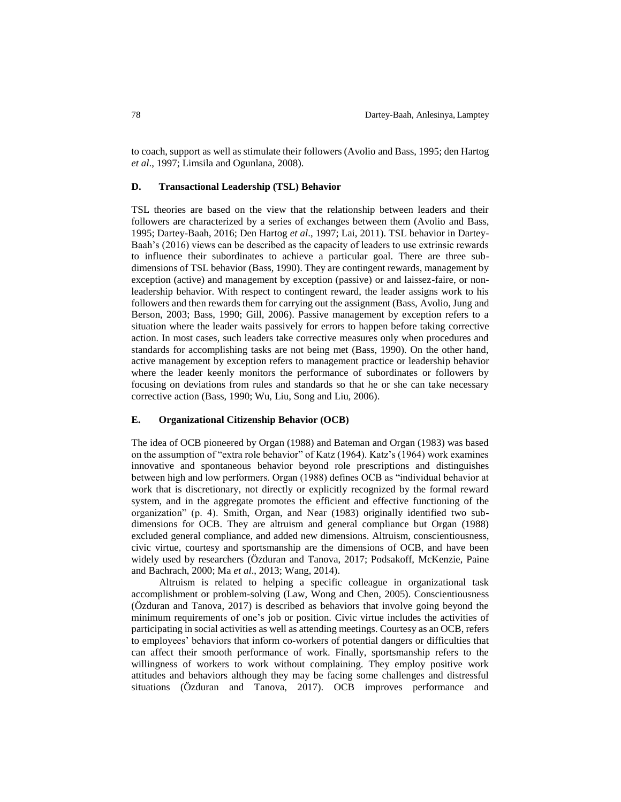to coach, support as well as stimulate their followers (Avolio and Bass, 1995; den Hartog *et al*., 1997; Limsila and Ogunlana, 2008).

#### **D. Transactional Leadership (TSL) Behavior**

TSL theories are based on the view that the relationship between leaders and their followers are characterized by a series of exchanges between them (Avolio and Bass, 1995; Dartey-Baah, 2016; Den Hartog *et al*., 1997; Lai, 2011). TSL behavior in Dartey-Baah's (2016) views can be described as the capacity of leaders to use extrinsic rewards to influence their subordinates to achieve a particular goal. There are three subdimensions of TSL behavior (Bass, 1990). They are contingent rewards, management by exception (active) and management by exception (passive) or and laissez-faire, or nonleadership behavior. With respect to contingent reward, the leader assigns work to his followers and then rewards them for carrying out the assignment (Bass, Avolio, Jung and Berson, 2003; Bass, 1990; Gill, 2006). Passive management by exception refers to a situation where the leader waits passively for errors to happen before taking corrective action. In most cases, such leaders take corrective measures only when procedures and standards for accomplishing tasks are not being met (Bass, 1990). On the other hand, active management by exception refers to management practice or leadership behavior where the leader keenly monitors the performance of subordinates or followers by focusing on deviations from rules and standards so that he or she can take necessary corrective action (Bass, 1990; Wu, Liu, Song and Liu, 2006).

# **E. Organizational Citizenship Behavior (OCB)**

The idea of OCB pioneered by Organ (1988) and Bateman and Organ (1983) was based on the assumption of "extra role behavior" of Katz (1964). Katz's (1964) work examines innovative and spontaneous behavior beyond role prescriptions and distinguishes between high and low performers. Organ (1988) defines OCB as "individual behavior at work that is discretionary, not directly or explicitly recognized by the formal reward system, and in the aggregate promotes the efficient and effective functioning of the organization" (p. 4). Smith, Organ, and Near (1983) originally identified two subdimensions for OCB. They are altruism and general compliance but Organ (1988) excluded general compliance, and added new dimensions. Altruism, conscientiousness, civic virtue, courtesy and sportsmanship are the dimensions of OCB, and have been widely used by researchers (Özduran and Tanova, 2017; Podsakoff, McKenzie, Paine and Bachrach, 2000; Ma *et al*., 2013; Wang, 2014).

Altruism is related to helping a specific colleague in organizational task accomplishment or problem-solving (Law, Wong and Chen, 2005). Conscientiousness (Özduran and Tanova, 2017) is described as behaviors that involve going beyond the minimum requirements of one's job or position. Civic virtue includes the activities of participating in social activities as well as attending meetings. Courtesy as an OCB, refers to employees' behaviors that inform co-workers of potential dangers or difficulties that can affect their smooth performance of work. Finally, sportsmanship refers to the willingness of workers to work without complaining. They employ positive work attitudes and behaviors although they may be facing some challenges and distressful situations (Özduran and Tanova, 2017). OCB improves performance and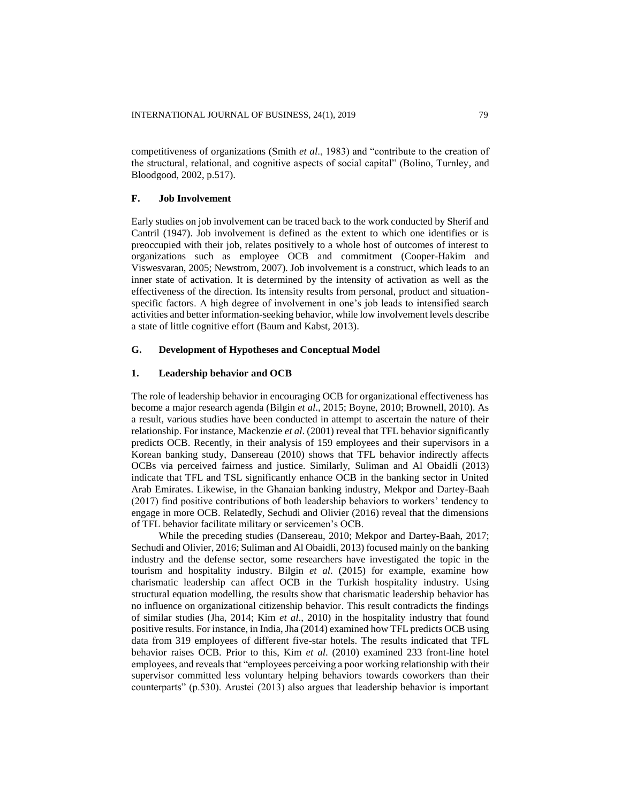competitiveness of organizations (Smith *et al*., 1983) and "contribute to the creation of the structural, relational, and cognitive aspects of social capital" (Bolino, Turnley, and Bloodgood, 2002, p.517).

# **F. Job Involvement**

Early studies on job involvement can be traced back to the work conducted by Sherif and Cantril (1947). Job involvement is defined as the extent to which one identifies or is preoccupied with their job, relates positively to a whole host of outcomes of interest to organizations such as employee OCB and commitment (Cooper-Hakim and Viswesvaran, 2005; Newstrom, 2007). Job involvement is a construct, which leads to an inner state of activation. It is determined by the intensity of activation as well as the effectiveness of the direction. Its intensity results from personal, product and situationspecific factors. A high degree of involvement in one's job leads to intensified search activities and better information-seeking behavior, while low involvement levels describe a state of little cognitive effort (Baum and Kabst, 2013).

# **G. Development of Hypotheses and Conceptual Model**

# **1. Leadership behavior and OCB**

The role of leadership behavior in encouraging OCB for organizational effectiveness has become a major research agenda (Bilgin *et al*., 2015; Boyne, 2010; Brownell, 2010). As a result, various studies have been conducted in attempt to ascertain the nature of their relationship. For instance, Mackenzie *et al*. (2001) reveal that TFL behavior significantly predicts OCB. Recently, in their analysis of 159 employees and their supervisors in a Korean banking study, Dansereau (2010) shows that TFL behavior indirectly affects OCBs via perceived fairness and justice. Similarly, Suliman and Al Obaidli (2013) indicate that TFL and TSL significantly enhance OCB in the banking sector in United Arab Emirates. Likewise, in the Ghanaian banking industry, Mekpor and Dartey-Baah (2017) find positive contributions of both leadership behaviors to workers' tendency to engage in more OCB. Relatedly, Sechudi and Olivier (2016) reveal that the dimensions of TFL behavior facilitate military or servicemen's OCB.

While the preceding studies (Dansereau, 2010; Mekpor and Dartey-Baah, 2017; Sechudi and Olivier, 2016; Suliman and Al Obaidli, 2013) focused mainly on the banking industry and the defense sector, some researchers have investigated the topic in the tourism and hospitality industry. Bilgin *et al*. (2015) for example, examine how charismatic leadership can affect OCB in the Turkish hospitality industry. Using structural equation modelling, the results show that charismatic leadership behavior has no influence on organizational citizenship behavior. This result contradicts the findings of similar studies (Jha, 2014; Kim *et al*., 2010) in the hospitality industry that found positive results. For instance, in India, Jha (2014) examined how TFL predicts OCB using data from 319 employees of different five-star hotels. The results indicated that TFL behavior raises OCB. Prior to this, Kim *et al*. (2010) examined 233 front-line hotel employees, and reveals that "employees perceiving a poor working relationship with their supervisor committed less voluntary helping behaviors towards coworkers than their counterparts" (p.530). Arustei (2013) also argues that leadership behavior is important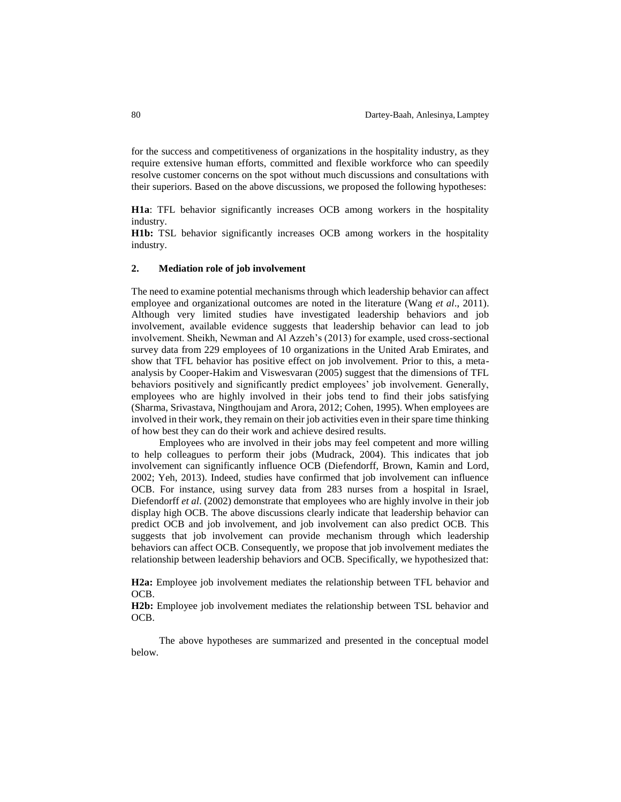for the success and competitiveness of organizations in the hospitality industry, as they require extensive human efforts, committed and flexible workforce who can speedily resolve customer concerns on the spot without much discussions and consultations with their superiors. Based on the above discussions, we proposed the following hypotheses:

**H1a**: TFL behavior significantly increases OCB among workers in the hospitality industry.

**H1b:** TSL behavior significantly increases OCB among workers in the hospitality industry.

# **2. Mediation role of job involvement**

The need to examine potential mechanisms through which leadership behavior can affect employee and organizational outcomes are noted in the literature (Wang *et al*., 2011). Although very limited studies have investigated leadership behaviors and job involvement, available evidence suggests that leadership behavior can lead to job involvement. Sheikh, Newman and Al Azzeh's (2013) for example, used cross-sectional survey data from 229 employees of 10 organizations in the United Arab Emirates, and show that TFL behavior has positive effect on job involvement. Prior to this, a metaanalysis by Cooper-Hakim and Viswesvaran (2005) suggest that the dimensions of TFL behaviors positively and significantly predict employees' job involvement. Generally, employees who are highly involved in their jobs tend to find their jobs satisfying (Sharma, Srivastava, Ningthoujam and Arora, 2012; Cohen, 1995). When employees are involved in their work, they remain on their job activities even in their spare time thinking of how best they can do their work and achieve desired results.

Employees who are involved in their jobs may feel competent and more willing to help colleagues to perform their jobs (Mudrack, 2004). This indicates that job involvement can significantly influence OCB (Diefendorff, Brown, Kamin and Lord, 2002; Yeh, 2013). Indeed, studies have confirmed that job involvement can influence OCB. For instance, using survey data from 283 nurses from a hospital in Israel, Diefendorff *et al*. (2002) demonstrate that employees who are highly involve in their job display high OCB. The above discussions clearly indicate that leadership behavior can predict OCB and job involvement, and job involvement can also predict OCB. This suggests that job involvement can provide mechanism through which leadership behaviors can affect OCB. Consequently, we propose that job involvement mediates the relationship between leadership behaviors and OCB. Specifically, we hypothesized that:

**H2a:** Employee job involvement mediates the relationship between TFL behavior and OCB.

**H2b:** Employee job involvement mediates the relationship between TSL behavior and OCB.

The above hypotheses are summarized and presented in the conceptual model below.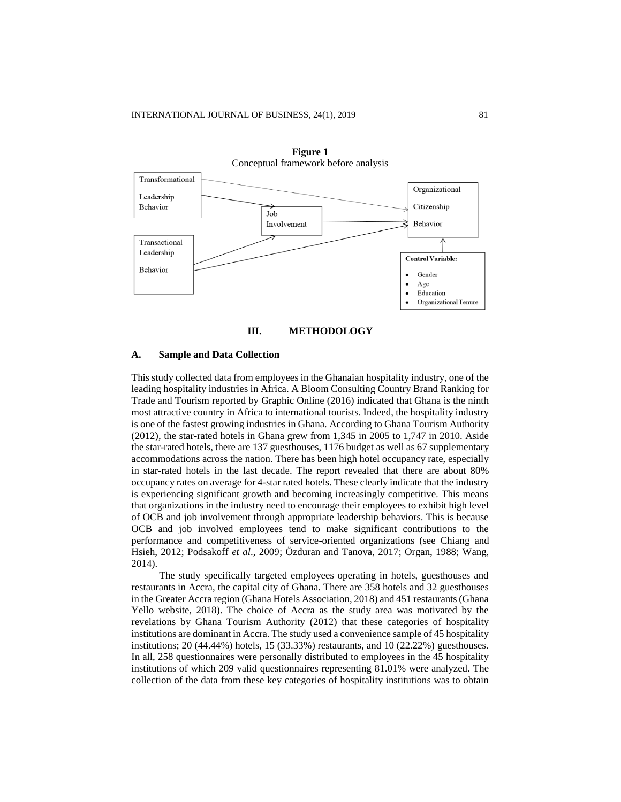

**Figure 1** Conceptual framework before analysis



#### **A. Sample and Data Collection**

This study collected data from employees in the Ghanaian hospitality industry, one of the leading hospitality industries in Africa. A Bloom Consulting Country Brand Ranking for Trade and Tourism reported by Graphic Online (2016) indicated that Ghana is the ninth most attractive country in Africa to international tourists. Indeed, the hospitality industry is one of the fastest growing industries in Ghana. According to Ghana Tourism Authority (2012), the star-rated hotels in Ghana grew from 1,345 in 2005 to 1,747 in 2010. Aside the star-rated hotels, there are 137 guesthouses, 1176 budget as well as 67 supplementary accommodations across the nation. There has been high hotel occupancy rate, especially in star-rated hotels in the last decade. The report revealed that there are about 80% occupancy rates on average for 4-star rated hotels. These clearly indicate that the industry is experiencing significant growth and becoming increasingly competitive. This means that organizations in the industry need to encourage their employees to exhibit high level of OCB and job involvement through appropriate leadership behaviors. This is because OCB and job involved employees tend to make significant contributions to the performance and competitiveness of service-oriented organizations (see Chiang and Hsieh, 2012; Podsakoff *et al*., 2009; Özduran and Tanova, 2017; Organ, 1988; Wang, 2014).

The study specifically targeted employees operating in hotels, guesthouses and restaurants in Accra, the capital city of Ghana. There are 358 hotels and 32 guesthouses in the Greater Accra region (Ghana Hotels Association, 2018) and 451 restaurants (Ghana Yello website, 2018). The choice of Accra as the study area was motivated by the revelations by Ghana Tourism Authority (2012) that these categories of hospitality institutions are dominant in Accra. The study used a convenience sample of 45 hospitality institutions; 20 (44.44%) hotels, 15 (33.33%) restaurants, and 10 (22.22%) guesthouses. In all, 258 questionnaires were personally distributed to employees in the 45 hospitality institutions of which 209 valid questionnaires representing 81.01% were analyzed. The collection of the data from these key categories of hospitality institutions was to obtain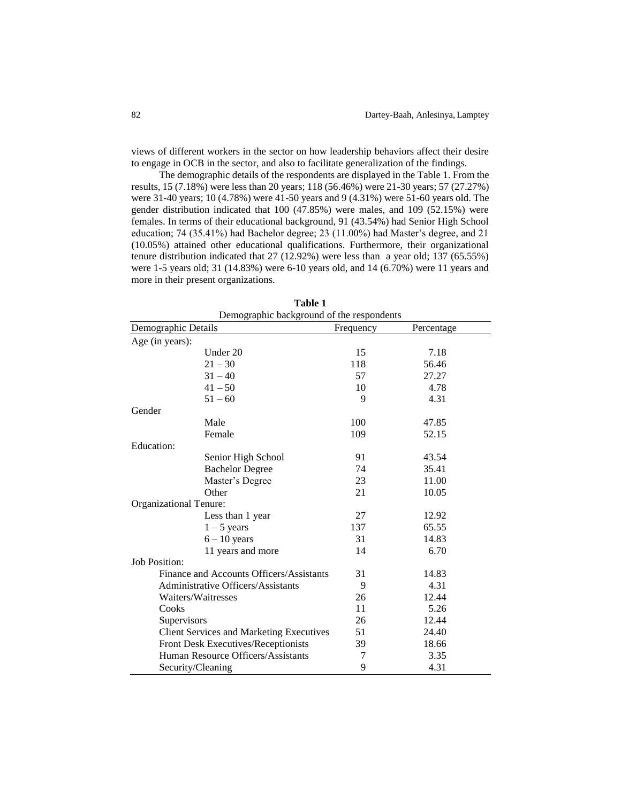views of different workers in the sector on how leadership behaviors affect their desire to engage in OCB in the sector, and also to facilitate generalization of the findings.

The demographic details of the respondents are displayed in the Table 1. From the results, 15 (7.18%) were less than 20 years; 118 (56.46%) were 21-30 years; 57 (27.27%) were 31-40 years; 10 (4.78%) were 41-50 years and 9 (4.31%) were 51-60 years old. The gender distribution indicated that 100 (47.85%) were males, and 109 (52.15%) were females. In terms of their educational background, 91 (43.54%) had Senior High School education; 74 (35.41%) had Bachelor degree; 23 (11.00%) had Master's degree, and 21 (10.05%) attained other educational qualifications. Furthermore, their organizational tenure distribution indicated that 27 (12.92%) were less than a year old; 137 (65.55%) were 1-5 years old; 31 (14.83%) were 6-10 years old, and 14 (6.70%) were 11 years and more in their present organizations.

| Demographic background of the respondents       |           |            |  |  |  |  |  |
|-------------------------------------------------|-----------|------------|--|--|--|--|--|
| Demographic Details                             | Frequency | Percentage |  |  |  |  |  |
| Age (in years):                                 |           |            |  |  |  |  |  |
| Under 20                                        | 15        | 7.18       |  |  |  |  |  |
| $21 - 30$                                       | 118       | 56.46      |  |  |  |  |  |
| $31 - 40$                                       | 57        | 27.27      |  |  |  |  |  |
| $41 - 50$                                       | 10        | 4.78       |  |  |  |  |  |
| $51 - 60$                                       | 9         | 4.31       |  |  |  |  |  |
| Gender                                          |           |            |  |  |  |  |  |
| Male                                            | 100       | 47.85      |  |  |  |  |  |
| Female                                          | 109       | 52.15      |  |  |  |  |  |
| Education:                                      |           |            |  |  |  |  |  |
| Senior High School                              | 91        | 43.54      |  |  |  |  |  |
| <b>Bachelor Degree</b>                          | 74        | 35.41      |  |  |  |  |  |
| Master's Degree                                 | 23        | 11.00      |  |  |  |  |  |
| Other                                           | 21        | 10.05      |  |  |  |  |  |
| Organizational Tenure:                          |           |            |  |  |  |  |  |
| Less than 1 year                                | 27        | 12.92      |  |  |  |  |  |
| $1 - 5$ years                                   | 137       | 65.55      |  |  |  |  |  |
| $6 - 10$ years                                  | 31        | 14.83      |  |  |  |  |  |
| 11 years and more                               | 14        | 6.70       |  |  |  |  |  |
| <b>Job Position:</b>                            |           |            |  |  |  |  |  |
| Finance and Accounts Officers/Assistants        | 31        | 14.83      |  |  |  |  |  |
| Administrative Officers/Assistants              | 9         | 4.31       |  |  |  |  |  |
| Waiters/Waitresses                              | 26        | 12.44      |  |  |  |  |  |
| Cooks                                           | 11        | 5.26       |  |  |  |  |  |
| Supervisors                                     | 26        | 12.44      |  |  |  |  |  |
| <b>Client Services and Marketing Executives</b> | 51        | 24.40      |  |  |  |  |  |
| Front Desk Executives/Receptionists             | 39        | 18.66      |  |  |  |  |  |
| Human Resource Officers/Assistants              | 7         | 3.35       |  |  |  |  |  |
| Security/Cleaning                               | 9         | 4.31       |  |  |  |  |  |

**Table 1**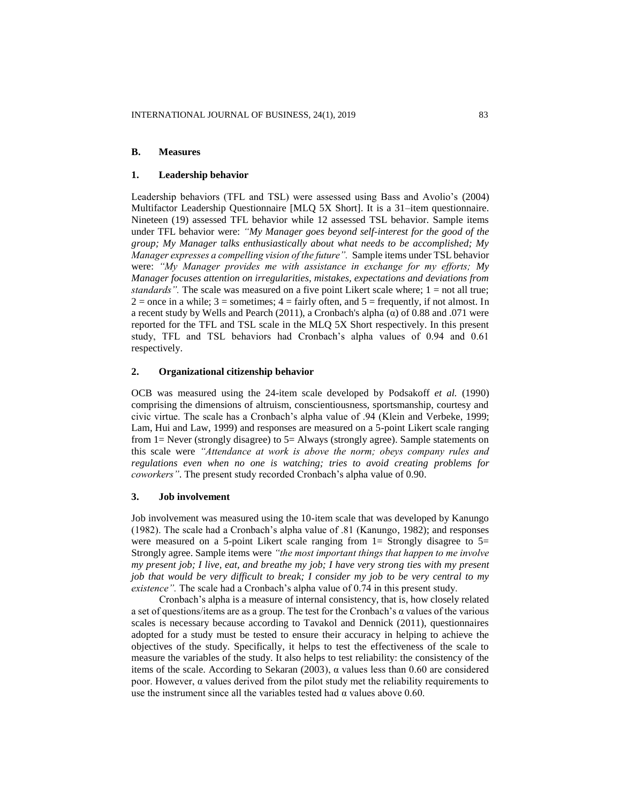# **B. Measures**

#### **1. Leadership behavior**

Leadership behaviors (TFL and TSL) were assessed using Bass and Avolio's (2004) Multifactor Leadership Questionnaire [MLQ 5X Short]. It is a 31–item questionnaire. Nineteen (19) assessed TFL behavior while 12 assessed TSL behavior. Sample items under TFL behavior were: *"My Manager goes beyond self-interest for the good of the group; My Manager talks enthusiastically about what needs to be accomplished; My Manager expresses a compelling vision of the future".* Sample items under TSL behavior were: *"My Manager provides me with assistance in exchange for my efforts; My Manager focuses attention on irregularities, mistakes, expectations and deviations from standards"*. The scale was measured on a five point Likert scale where; 1 = not all true;  $2 =$  once in a while;  $3 =$  sometimes;  $4 =$  fairly often, and  $5 =$  frequently, if not almost. In a recent study by Wells and Pearch (2011), a Cronbach's alpha  $(\alpha)$  of 0.88 and .071 were reported for the TFL and TSL scale in the MLQ 5X Short respectively. In this present study, TFL and TSL behaviors had Cronbach's alpha values of 0.94 and 0.61 respectively.

# **2. Organizational citizenship behavior**

OCB was measured using the 24-item scale developed by Podsakoff *et al.* (1990) comprising the dimensions of altruism, conscientiousness, sportsmanship, courtesy and civic virtue. The scale has a Cronbach's alpha value of .94 (Klein and Verbeke, 1999; Lam, Hui and Law, 1999) and responses are measured on a 5-point Likert scale ranging from 1= Never (strongly disagree) to 5= Always (strongly agree). Sample statements on this scale were *"Attendance at work is above the norm; obeys company rules and regulations even when no one is watching; tries to avoid creating problems for coworkers"*. The present study recorded Cronbach's alpha value of 0.90.

#### **3. Job involvement**

Job involvement was measured using the 10-item scale that was developed by Kanungo (1982). The scale had a Cronbach's alpha value of .81 (Kanungo, 1982); and responses were measured on a 5-point Likert scale ranging from  $1=$  Strongly disagree to  $5=$ Strongly agree. Sample items were *"the most important things that happen to me involve my present job; I live, eat, and breathe my job; I have very strong ties with my present job that would be very difficult to break; I consider my job to be very central to my existence".* The scale had a Cronbach's alpha value of 0.74 in this present study.

Cronbach's alpha is a measure of internal consistency, that is, how closely related a set of questions/items are as a group. The test for the Cronbach's α values of the various scales is necessary because according to Tavakol and Dennick (2011), questionnaires adopted for a study must be tested to ensure their accuracy in helping to achieve the objectives of the study. Specifically, it helps to test the effectiveness of the scale to measure the variables of the study. It also helps to test reliability: the consistency of the items of the scale. According to Sekaran (2003), α values less than 0.60 are considered poor. However, α values derived from the pilot study met the reliability requirements to use the instrument since all the variables tested had  $\alpha$  values above 0.60.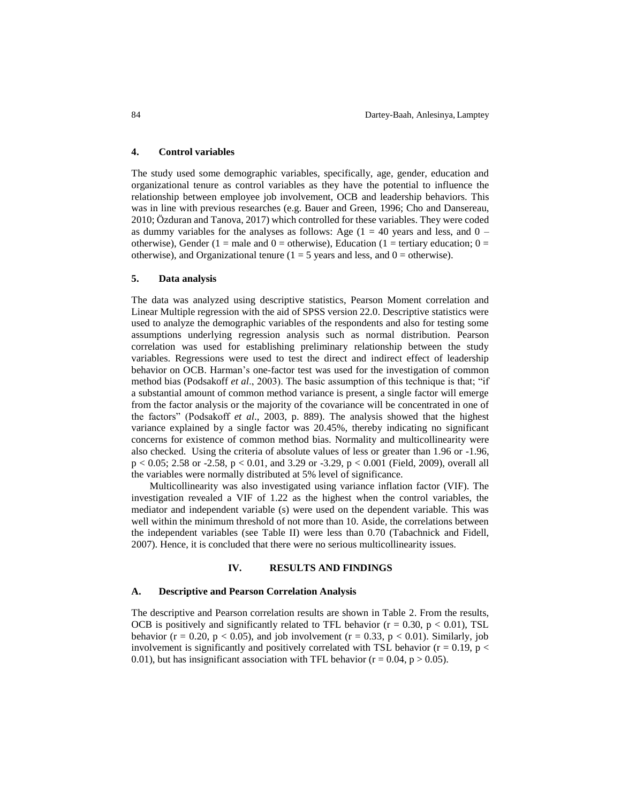## **4. Control variables**

The study used some demographic variables, specifically, age, gender, education and organizational tenure as control variables as they have the potential to influence the relationship between employee job involvement, OCB and leadership behaviors. This was in line with previous researches (e.g. Bauer and Green, 1996; Cho and Dansereau, 2010; Özduran and Tanova, 2017) which controlled for these variables. They were coded as dummy variables for the analyses as follows: Age  $(1 = 40$  years and less, and  $0$ otherwise), Gender (1 = male and 0 = otherwise), Education (1 = tertiary education;  $0 =$ otherwise), and Organizational tenure ( $1 = 5$  years and less, and  $0 =$  otherwise).

## **5. Data analysis**

The data was analyzed using descriptive statistics, Pearson Moment correlation and Linear Multiple regression with the aid of SPSS version 22.0. Descriptive statistics were used to analyze the demographic variables of the respondents and also for testing some assumptions underlying regression analysis such as normal distribution. Pearson correlation was used for establishing preliminary relationship between the study variables. Regressions were used to test the direct and indirect effect of leadership behavior on OCB. Harman's one-factor test was used for the investigation of common method bias (Podsakoff *et al*., 2003). The basic assumption of this technique is that; "if a substantial amount of common method variance is present, a single factor will emerge from the factor analysis or the majority of the covariance will be concentrated in one of the factors" (Podsakoff *et al*., 2003, p. 889). The analysis showed that the highest variance explained by a single factor was 20.45%, thereby indicating no significant concerns for existence of common method bias. Normality and multicollinearity were also checked. Using the criteria of absolute values of less or greater than 1.96 or -1.96, p < 0.05; 2.58 or -2.58, p < 0.01, and 3.29 or -3.29, p < 0.001 (Field, 2009), overall all the variables were normally distributed at 5% level of significance.

Multicollinearity was also investigated using variance inflation factor (VIF). The investigation revealed a VIF of 1.22 as the highest when the control variables, the mediator and independent variable (s) were used on the dependent variable. This was well within the minimum threshold of not more than 10. Aside, the correlations between the independent variables (see Table II) were less than 0.70 (Tabachnick and Fidell, 2007). Hence, it is concluded that there were no serious multicollinearity issues.

# **IV. RESULTS AND FINDINGS**

## **A. Descriptive and Pearson Correlation Analysis**

The descriptive and Pearson correlation results are shown in Table 2. From the results, OCB is positively and significantly related to TFL behavior ( $r = 0.30$ ,  $p < 0.01$ ), TSL behavior ( $r = 0.20$ ,  $p < 0.05$ ), and job involvement ( $r = 0.33$ ,  $p < 0.01$ ). Similarly, job involvement is significantly and positively correlated with TSL behavior ( $r = 0.19$ ,  $p <$ 0.01), but has insignificant association with TFL behavior ( $r = 0.04$ ,  $p > 0.05$ ).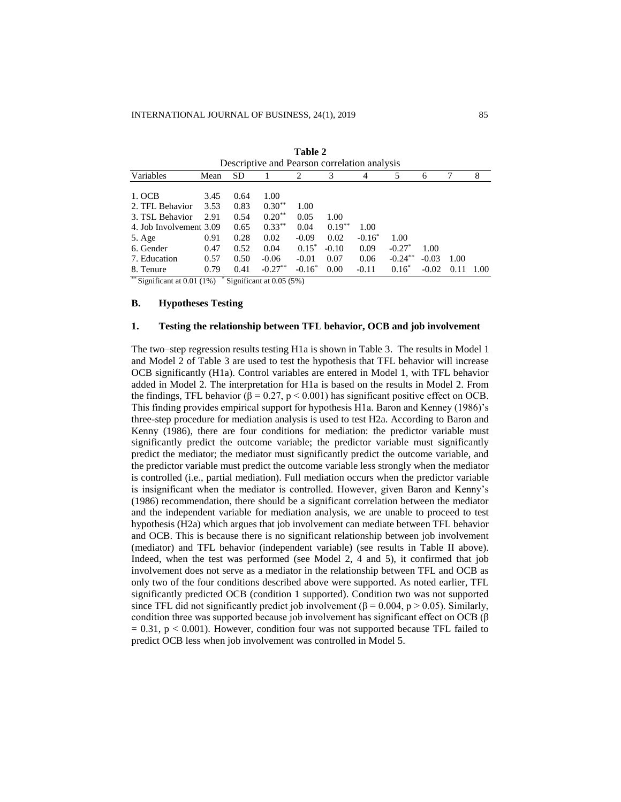| Descriptive and Pearson correlation analysis |      |           |                                           |           |           |           |            |         |      |      |
|----------------------------------------------|------|-----------|-------------------------------------------|-----------|-----------|-----------|------------|---------|------|------|
| Variables                                    | Mean | <b>SD</b> |                                           | 2         | 3         |           | 5          | 6       | 7    | 8    |
| 1. OCB                                       | 3.45 | 0.64      | 1.00                                      |           |           |           |            |         |      |      |
| 2. TFL Behavior                              | 3.53 | 0.83      | $0.30**$                                  | 1.00      |           |           |            |         |      |      |
| 3. TSL Behavior                              | 2.91 | 0.54      | $0.20**$                                  | 0.05      | 1.00      |           |            |         |      |      |
| 4. Job Involvement 3.09                      |      | 0.65      | $0.33***$                                 | 0.04      | $0.19***$ | 1.00      |            |         |      |      |
| 5. Age                                       | 0.91 | 0.28      | 0.02                                      | $-0.09$   | 0.02      | $-0.16^*$ | 1.00       |         |      |      |
| 6. Gender                                    | 0.47 | 0.52      | 0.04                                      | $0.15^*$  | $-0.10$   | 0.09      | $-0.27^*$  | 1.00    |      |      |
| 7. Education                                 | 0.57 | 0.50      | $-0.06$                                   | $-0.01$   | 0.07      | 0.06      | $-0.24***$ | $-0.03$ | 1.00 |      |
| 8. Tenure                                    | 0.79 | 0.41      | $-0.27***$                                | $-0.16^*$ | 0.00      | $-0.11$   | $0.16*$    | $-0.02$ | 0.11 | 1.00 |
| $** \alpha$ . $\alpha$<br>$0.001(10)$ $0.01$ |      |           | $\sim$ $\sim$ $\sim$ $\sim$ $\sim$ $\sim$ |           |           |           |            |         |      |      |

**Table 2**

Significant at  $0.01$  (1%)  $*$  Significant at 0.05 (5%)

# **B. Hypotheses Testing**

# **1. Testing the relationship between TFL behavior, OCB and job involvement**

The two–step regression results testing H1a is shown in Table 3. The results in Model 1 and Model 2 of Table 3 are used to test the hypothesis that TFL behavior will increase OCB significantly (H1a). Control variables are entered in Model 1, with TFL behavior added in Model 2. The interpretation for H1a is based on the results in Model 2. From the findings, TFL behavior (β = 0.27, p < 0.001) has significant positive effect on OCB. This finding provides empirical support for hypothesis H1a. Baron and Kenney (1986)'s three-step procedure for mediation analysis is used to test H2a. According to Baron and Kenny (1986), there are four conditions for mediation: the predictor variable must significantly predict the outcome variable; the predictor variable must significantly predict the mediator; the mediator must significantly predict the outcome variable, and the predictor variable must predict the outcome variable less strongly when the mediator is controlled (i.e., partial mediation). Full mediation occurs when the predictor variable is insignificant when the mediator is controlled. However, given Baron and Kenny's (1986) recommendation, there should be a significant correlation between the mediator and the independent variable for mediation analysis, we are unable to proceed to test hypothesis (H2a) which argues that job involvement can mediate between TFL behavior and OCB. This is because there is no significant relationship between job involvement (mediator) and TFL behavior (independent variable) (see results in Table II above). Indeed, when the test was performed (see Model 2, 4 and 5), it confirmed that job involvement does not serve as a mediator in the relationship between TFL and OCB as only two of the four conditions described above were supported. As noted earlier, TFL significantly predicted OCB (condition 1 supported). Condition two was not supported since TFL did not significantly predict job involvement ( $\beta$  = 0.004, p > 0.05). Similarly, condition three was supported because job involvement has significant effect on OCB (β  $= 0.31$ ,  $p < 0.001$ ). However, condition four was not supported because TFL failed to predict OCB less when job involvement was controlled in Model 5.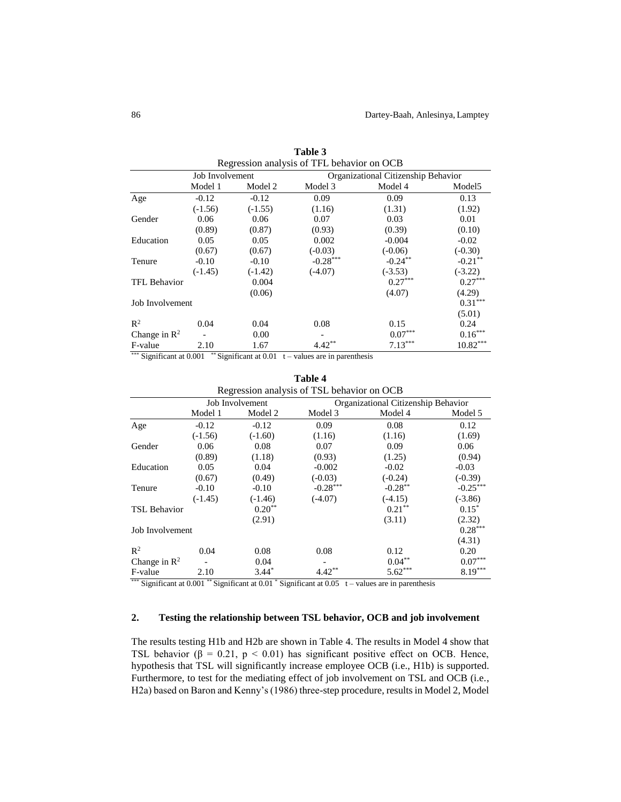|                          |                 |           | Regression analysis of TFL behavior on OCB |            |                    |
|--------------------------|-----------------|-----------|--------------------------------------------|------------|--------------------|
|                          | Job Involvement |           | Organizational Citizenship Behavior        |            |                    |
|                          | Model 1         | Model 2   | Model 3                                    | Model 4    | Model <sub>5</sub> |
| Age                      | $-0.12$         | $-0.12$   | 0.09                                       | 0.09       | 0.13               |
|                          | $(-1.56)$       | $(-1.55)$ | (1.16)                                     | (1.31)     | (1.92)             |
| Gender                   | 0.06            | 0.06      | 0.07                                       | 0.03       | 0.01               |
|                          | (0.89)          | (0.87)    | (0.93)                                     | (0.39)     | (0.10)             |
| Education                | 0.05            | 0.05      | 0.002                                      | $-0.004$   | $-0.02$            |
|                          | (0.67)          | (0.67)    | $(-0.03)$                                  | $(-0.06)$  | $(-0.30)$          |
| Tenure                   | $-0.10$         | $-0.10$   | $-0.28***$                                 | $-0.24***$ | $-0.21$ **         |
|                          | $(-1.45)$       | $(-1.42)$ | $(-4.07)$                                  | $(-3.53)$  | $(-3.22)$          |
| <b>TFL Behavior</b>      |                 | 0.004     |                                            | $0.27***$  | $0.27***$          |
|                          |                 | (0.06)    |                                            | (4.07)     | (4.29)             |
| Job Involvement          |                 |           |                                            |            | $0.31***$          |
|                          |                 |           |                                            |            | (5.01)             |
| $\mathbb{R}^2$           | 0.04            | 0.04      | 0.08                                       | 0.15       | 0.24               |
| Change in $\mathbb{R}^2$ |                 | 0.00      |                                            | $0.07***$  | $0.16***$          |
| F-value                  | 2.10            | 1.67      | $4.42**$                                   | $7.13***$  | $10.82***$         |

| Table 3                                  |  |
|------------------------------------------|--|
| oression analysis of TFI hehavior on OCR |  |

\*\*\* Significant at  $0.001$  \*\* Significant at  $0.01$  t – values are in parenthesis

| Regression analysis of TSL behavior on OCB |           |                 |            |                                     |            |  |
|--------------------------------------------|-----------|-----------------|------------|-------------------------------------|------------|--|
|                                            |           | Job Involvement |            | Organizational Citizenship Behavior |            |  |
|                                            | Model 1   | Model 2         | Model 3    | Model 4                             | Model 5    |  |
| Age                                        | $-0.12$   | $-0.12$         | 0.09       | 0.08                                | 0.12       |  |
|                                            | $(-1.56)$ | $(-1.60)$       | (1.16)     | (1.16)                              | (1.69)     |  |
| Gender                                     | 0.06      | 0.08            | 0.07       | 0.09                                | 0.06       |  |
|                                            | (0.89)    | (1.18)          | (0.93)     | (1.25)                              | (0.94)     |  |
| Education                                  | 0.05      | 0.04            | $-0.002$   | $-0.02$                             | $-0.03$    |  |
|                                            | (0.67)    | (0.49)          | $(-0.03)$  | $(-0.24)$                           | $(-0.39)$  |  |
| Tenure                                     | $-0.10$   | $-0.10$         | $-0.28***$ | $-0.28***$                          | $-0.25***$ |  |
|                                            | $(-1.45)$ | $(-1.46)$       | $(-4.07)$  | $(-4.15)$                           | $(-3.86)$  |  |
| <b>TSL Behavior</b>                        |           | $0.20**$        |            | $0.21***$                           | $0.15*$    |  |
|                                            |           | (2.91)          |            | (3.11)                              | (2.32)     |  |
| Job Involvement                            |           |                 |            |                                     | $0.28***$  |  |
|                                            |           |                 |            |                                     | (4.31)     |  |
| $\mathbb{R}^2$                             | 0.04      | 0.08            | 0.08       | 0.12                                | 0.20       |  |
| Change in $\mathbb{R}^2$                   |           | 0.04            |            | $0.04***$                           | $0.07***$  |  |
| F-value                                    | 2.10      | $3.44*$         | $4.42***$  | $5.62***$                           | $8.19***$  |  |

**Table 4**

\*\*\* Significant at  $0.001$  \*\* Significant at  $0.01$  \* Significant at  $0.05$  t – values are in parenthesis

# **2. Testing the relationship between TSL behavior, OCB and job involvement**

The results testing H1b and H2b are shown in Table 4. The results in Model 4 show that TSL behavior ( $\beta = 0.21$ ,  $p < 0.01$ ) has significant positive effect on OCB. Hence, hypothesis that TSL will significantly increase employee OCB (i.e., H1b) is supported. Furthermore, to test for the mediating effect of job involvement on TSL and OCB (i.e., H2a) based on Baron and Kenny's (1986) three-step procedure, results in Model 2, Model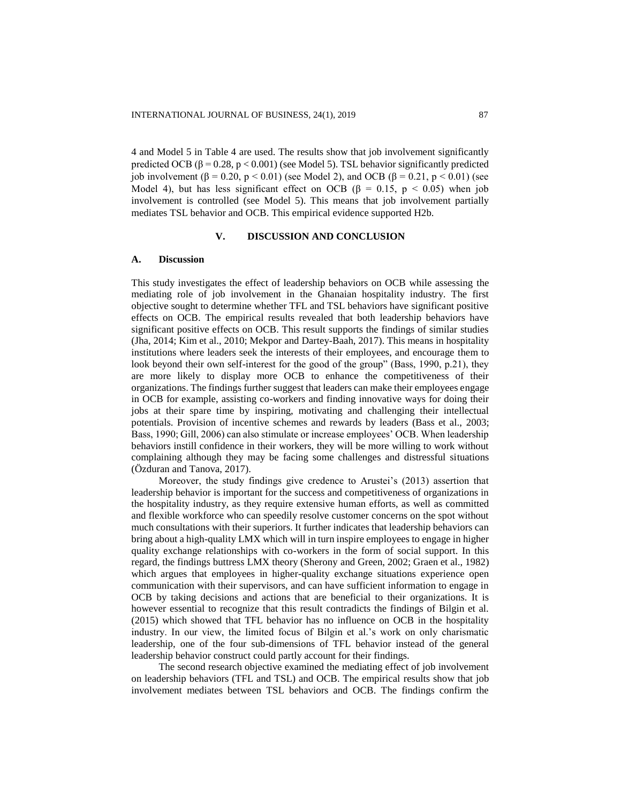4 and Model 5 in Table 4 are used. The results show that job involvement significantly predicted OCB (β = 0.28, p < 0.001) (see Model 5). TSL behavior significantly predicted job involvement (β = 0.20, p < 0.01) (see Model 2), and OCB (β = 0.21, p < 0.01) (see Model 4), but has less significant effect on OCB ( $\beta = 0.15$ ,  $p < 0.05$ ) when job involvement is controlled (see Model 5). This means that job involvement partially mediates TSL behavior and OCB. This empirical evidence supported H2b.

#### **V. DISCUSSION AND CONCLUSION**

#### **A. Discussion**

This study investigates the effect of leadership behaviors on OCB while assessing the mediating role of job involvement in the Ghanaian hospitality industry. The first objective sought to determine whether TFL and TSL behaviors have significant positive effects on OCB. The empirical results revealed that both leadership behaviors have significant positive effects on OCB. This result supports the findings of similar studies (Jha, 2014; Kim et al., 2010; Mekpor and Dartey-Baah, 2017). This means in hospitality institutions where leaders seek the interests of their employees, and encourage them to look beyond their own self-interest for the good of the group" (Bass, 1990, p.21), they are more likely to display more OCB to enhance the competitiveness of their organizations. The findings further suggest that leaders can make their employees engage in OCB for example, assisting co-workers and finding innovative ways for doing their jobs at their spare time by inspiring, motivating and challenging their intellectual potentials. Provision of incentive schemes and rewards by leaders (Bass et al., 2003; Bass, 1990; Gill, 2006) can also stimulate or increase employees' OCB. When leadership behaviors instill confidence in their workers, they will be more willing to work without complaining although they may be facing some challenges and distressful situations (Özduran and Tanova, 2017).

Moreover, the study findings give credence to Arustei's (2013) assertion that leadership behavior is important for the success and competitiveness of organizations in the hospitality industry, as they require extensive human efforts, as well as committed and flexible workforce who can speedily resolve customer concerns on the spot without much consultations with their superiors. It further indicates that leadership behaviors can bring about a high-quality LMX which will in turn inspire employees to engage in higher quality exchange relationships with co-workers in the form of social support. In this regard, the findings buttress LMX theory (Sherony and Green, 2002; Graen et al., 1982) which argues that employees in higher-quality exchange situations experience open communication with their supervisors, and can have sufficient information to engage in OCB by taking decisions and actions that are beneficial to their organizations. It is however essential to recognize that this result contradicts the findings of Bilgin et al. (2015) which showed that TFL behavior has no influence on OCB in the hospitality industry. In our view, the limited focus of Bilgin et al.'s work on only charismatic leadership, one of the four sub-dimensions of TFL behavior instead of the general leadership behavior construct could partly account for their findings.

The second research objective examined the mediating effect of job involvement on leadership behaviors (TFL and TSL) and OCB. The empirical results show that job involvement mediates between TSL behaviors and OCB. The findings confirm the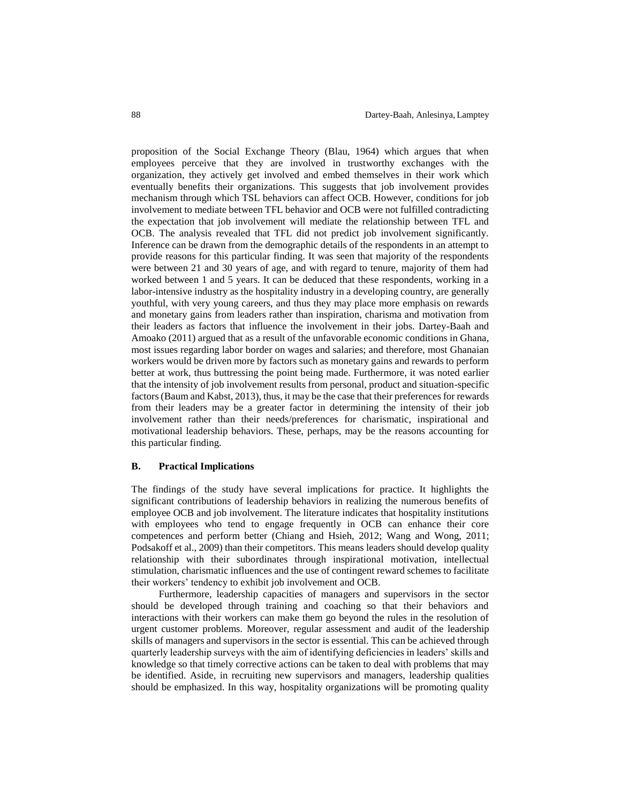proposition of the Social Exchange Theory (Blau, 1964) which argues that when employees perceive that they are involved in trustworthy exchanges with the organization, they actively get involved and embed themselves in their work which eventually benefits their organizations. This suggests that job involvement provides mechanism through which TSL behaviors can affect OCB. However, conditions for job involvement to mediate between TFL behavior and OCB were not fulfilled contradicting the expectation that job involvement will mediate the relationship between TFL and OCB. The analysis revealed that TFL did not predict job involvement significantly. Inference can be drawn from the demographic details of the respondents in an attempt to provide reasons for this particular finding. It was seen that majority of the respondents were between 21 and 30 years of age, and with regard to tenure, majority of them had worked between 1 and 5 years. It can be deduced that these respondents, working in a labor-intensive industry as the hospitality industry in a developing country, are generally youthful, with very young careers, and thus they may place more emphasis on rewards and monetary gains from leaders rather than inspiration, charisma and motivation from their leaders as factors that influence the involvement in their jobs. Dartey-Baah and Amoako (2011) argued that as a result of the unfavorable economic conditions in Ghana, most issues regarding labor border on wages and salaries; and therefore, most Ghanaian workers would be driven more by factors such as monetary gains and rewards to perform better at work, thus buttressing the point being made. Furthermore, it was noted earlier that the intensity of job involvement results from personal, product and situation-specific factors (Baum and Kabst, 2013), thus, it may be the case that their preferences for rewards from their leaders may be a greater factor in determining the intensity of their job involvement rather than their needs/preferences for charismatic, inspirational and motivational leadership behaviors. These, perhaps, may be the reasons accounting for this particular finding.

## **B. Practical Implications**

The findings of the study have several implications for practice. It highlights the significant contributions of leadership behaviors in realizing the numerous benefits of employee OCB and job involvement. The literature indicates that hospitality institutions with employees who tend to engage frequently in OCB can enhance their core competences and perform better (Chiang and Hsieh, 2012; Wang and Wong, 2011; Podsakoff et al., 2009) than their competitors. This means leaders should develop quality relationship with their subordinates through inspirational motivation, intellectual stimulation, charismatic influences and the use of contingent reward schemes to facilitate their workers' tendency to exhibit job involvement and OCB.

Furthermore, leadership capacities of managers and supervisors in the sector should be developed through training and coaching so that their behaviors and interactions with their workers can make them go beyond the rules in the resolution of urgent customer problems. Moreover, regular assessment and audit of the leadership skills of managers and supervisors in the sector is essential. This can be achieved through quarterly leadership surveys with the aim of identifying deficiencies in leaders' skills and knowledge so that timely corrective actions can be taken to deal with problems that may be identified. Aside, in recruiting new supervisors and managers, leadership qualities should be emphasized. In this way, hospitality organizations will be promoting quality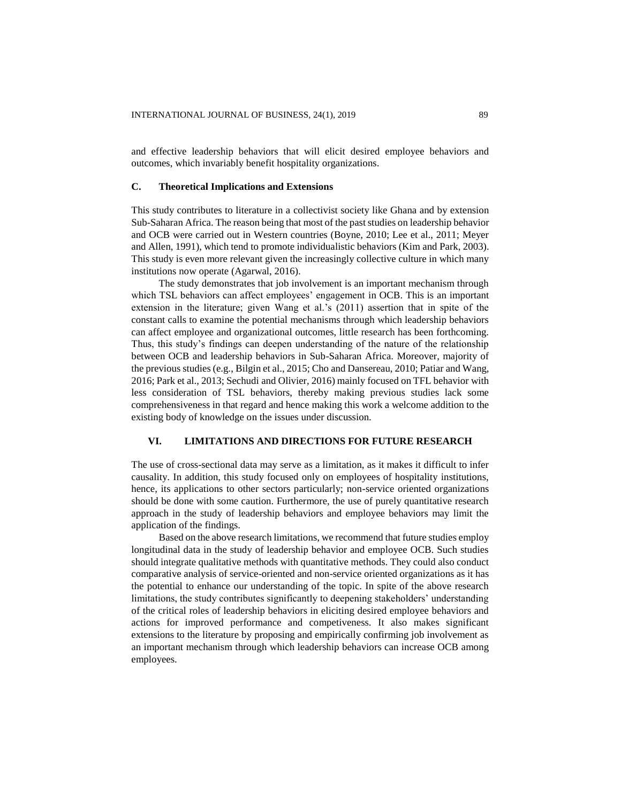and effective leadership behaviors that will elicit desired employee behaviors and outcomes, which invariably benefit hospitality organizations.

# **C. Theoretical Implications and Extensions**

This study contributes to literature in a collectivist society like Ghana and by extension Sub-Saharan Africa. The reason being that most of the past studies on leadership behavior and OCB were carried out in Western countries (Boyne, 2010; Lee et al., 2011; Meyer and Allen, 1991), which tend to promote individualistic behaviors (Kim and Park, 2003). This study is even more relevant given the increasingly collective culture in which many institutions now operate (Agarwal, 2016).

The study demonstrates that job involvement is an important mechanism through which TSL behaviors can affect employees' engagement in OCB. This is an important extension in the literature; given Wang et al.'s (2011) assertion that in spite of the constant calls to examine the potential mechanisms through which leadership behaviors can affect employee and organizational outcomes, little research has been forthcoming. Thus, this study's findings can deepen understanding of the nature of the relationship between OCB and leadership behaviors in Sub-Saharan Africa. Moreover, majority of the previous studies (e.g., Bilgin et al., 2015; Cho and Dansereau, 2010; Patiar and Wang, 2016; Park et al., 2013; Sechudi and Olivier, 2016) mainly focused on TFL behavior with less consideration of TSL behaviors, thereby making previous studies lack some comprehensiveness in that regard and hence making this work a welcome addition to the existing body of knowledge on the issues under discussion.

# **VI. LIMITATIONS AND DIRECTIONS FOR FUTURE RESEARCH**

The use of cross-sectional data may serve as a limitation, as it makes it difficult to infer causality. In addition, this study focused only on employees of hospitality institutions, hence, its applications to other sectors particularly; non-service oriented organizations should be done with some caution. Furthermore, the use of purely quantitative research approach in the study of leadership behaviors and employee behaviors may limit the application of the findings.

Based on the above research limitations, we recommend that future studies employ longitudinal data in the study of leadership behavior and employee OCB. Such studies should integrate qualitative methods with quantitative methods. They could also conduct comparative analysis of service-oriented and non-service oriented organizations as it has the potential to enhance our understanding of the topic. In spite of the above research limitations, the study contributes significantly to deepening stakeholders' understanding of the critical roles of leadership behaviors in eliciting desired employee behaviors and actions for improved performance and competiveness. It also makes significant extensions to the literature by proposing and empirically confirming job involvement as an important mechanism through which leadership behaviors can increase OCB among employees.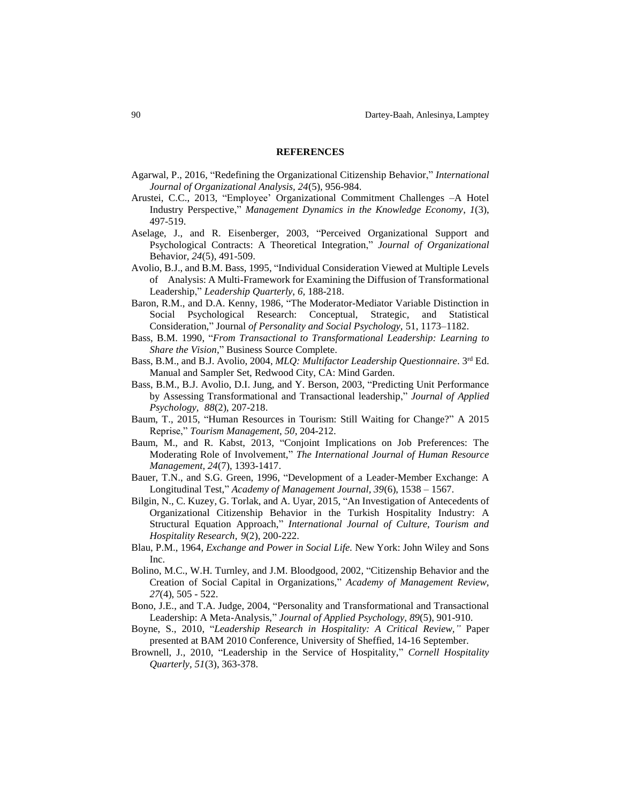#### **REFERENCES**

- Agarwal, P., 2016, "Redefining the Organizational Citizenship Behavior," *International Journal of Organizational Analysis, 24*(5), 956-984.
- Arustei, C.C., 2013, "Employee' Organizational Commitment Challenges –A Hotel Industry Perspective," *Management Dynamics in the Knowledge Economy*, *1*(3), 497-519.
- Aselage, J., and R. Eisenberger, 2003, "Perceived Organizational Support and Psychological Contracts: A Theoretical Integration," *Journal of Organizational*  Behavior*, 24*(5), 491-509.
- Avolio, B.J., and B.M. Bass, 1995, "Individual Consideration Viewed at Multiple Levels of Analysis: A Multi-Framework for Examining the Diffusion of Transformational Leadership," *Leadership Quarterly*, *6,* 188-218.
- Baron, R.M., and D.A. Kenny, 1986, "The Moderator-Mediator Variable Distinction in Social Psychological Research: Conceptual, Strategic, and Statistical Consideration," Journal *of Personality and Social Psychology,* 51, 1173–1182.
- Bass, B.M. 1990, "*From Transactional to Transformational Leadership: Learning to Share the Vision*," Business Source Complete.
- Bass, B.M., and B.J. Avolio, 2004, *MLQ: Multifactor Leadership Questionnaire*. 3<sup>rd</sup> Ed. Manual and Sampler Set, Redwood City, CA: Mind Garden.
- Bass, B.M., B.J. Avolio, D.I. Jung, and Y. Berson, 2003, "Predicting Unit Performance by Assessing Transformational and Transactional leadership," *Journal of Applied Psychology, 88*(2), 207-218.
- Baum, T., 2015, "Human Resources in Tourism: Still Waiting for Change?" A 2015 Reprise," *Tourism Management*, *50*, 204-212.
- Baum, M., and R. Kabst, 2013, "Conjoint Implications on Job Preferences: The Moderating Role of Involvement," *The International Journal of Human Resource Management, 24*(7), 1393-1417.
- Bauer, T.N., and S.G. Green, 1996, "Development of a Leader-Member Exchange: A Longitudinal Test," *Academy of Management Journal, 39*(6), 1538 – 1567.
- Bilgin, N., C. Kuzey, G. Torlak, and A. Uyar, 2015, "An Investigation of Antecedents of Organizational Citizenship Behavior in the Turkish Hospitality Industry: A Structural Equation Approach," *International Journal of Culture, Tourism and Hospitality Research, 9*(2), 200-222.
- Blau, P.M., 1964, *Exchange and Power in Social Life.* New York: John Wiley and Sons Inc.
- Bolino, M.C., W.H. Turnley, and J.M. Bloodgood, 2002, "Citizenship Behavior and the Creation of Social Capital in Organizations," *Academy of Management Review, 27*(4), 505 - 522.
- Bono, J.E., and T.A. Judge, 2004, "Personality and Transformational and Transactional Leadership: A Meta-Analysis," *Journal of Applied Psychology, 89*(5), 901-910.
- Boyne, S., 2010, "*Leadership Research in Hospitality: A Critical Review,"* Paper presented at BAM 2010 Conference, University of Sheffied, 14-16 September.
- Brownell, J., 2010, "Leadership in the Service of Hospitality," *Cornell Hospitality Quarterly, 51*(3), 363-378.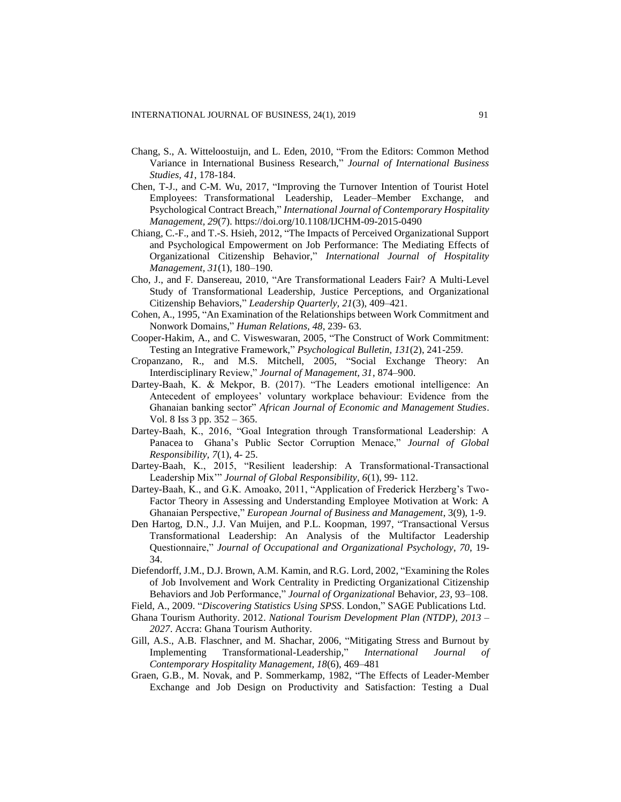- Chang, S., A. Witteloostuijn, and L. Eden, 2010, "From the Editors: Common Method Variance in International Business Research," *Journal of International Business Studies, 41*, 178-184.
- Chen, T-J., and C-M. Wu, 2017, "Improving the Turnover Intention of Tourist Hotel Employees: Transformational Leadership, Leader–Member Exchange, and Psychological Contract Breach," *International Journal of Contemporary Hospitality Management, 29*(7). <https://doi.org/10.1108/IJCHM-09-2015-0490>
- Chiang, C.-F., and T.-S. Hsieh, 2012, "The Impacts of Perceived Organizational Support and Psychological Empowerment on Job Performance: The Mediating Effects of Organizational Citizenship Behavior," *International Journal of Hospitality Management, 31*(1), 180–190.
- Cho, J., and F. Dansereau, 2010, "Are Transformational Leaders Fair? A Multi-Level Study of Transformational Leadership, Justice Perceptions, and Organizational Citizenship Behaviors," *Leadership Quarterly, 21*(3), 409–421.
- Cohen, A., 1995, "An Examination of the Relationships between Work Commitment and Nonwork Domains," *Human Relations, 48*, 239- 63.
- Cooper-Hakim, A., and C. Visweswaran, 2005, "The Construct of Work Commitment: Testing an Integrative Framework," *Psychological Bulletin, 131*(2), 241-259.
- Cropanzano, R., and M.S. Mitchell, 2005, "Social Exchange Theory: An Interdisciplinary Review," *Journal of Management, 31*, 874–900.
- Dartey-Baah, K. & Mekpor, B. (2017). "The Leaders emotional intelligence: An Antecedent of employees' voluntary workplace behaviour: Evidence from the Ghanaian banking sector" *African Journal of Economic and Management Studies*. Vol. 8 Iss 3 pp. 352 – 365.
- Dartey-Baah, K., 2016, "Goal Integration through Transformational Leadership: A Panacea to Ghana's Public Sector Corruption Menace," *Journal of Global Responsibility, 7*(1), 4- 25.
- Dartey-Baah, K., 2015, "Resilient leadership: A Transformational-Transactional Leadership Mix'" *Journal of Global Responsibility, 6*(1), 99- 112.
- Dartey-Baah, K., and G.K. Amoako, 2011, "Application of Frederick Herzberg's Two-Factor Theory in Assessing and Understanding Employee Motivation at Work: A Ghanaian Perspective," *European Journal of Business and Management*, 3(9), 1-9.
- Den Hartog, D.N., J.J. Van Muijen, and P.L. Koopman, 1997, "Transactional Versus Transformational Leadership: An Analysis of the Multifactor Leadership Questionnaire," *Journal of Occupational and Organizational Psychology*, *70*, 19- 34.
- Diefendorff, J.M., D.J. Brown, A.M. Kamin, and R.G. Lord, 2002, "Examining the Roles of Job Involvement and Work Centrality in Predicting Organizational Citizenship Behaviors and Job Performance," *Journal of Organizational* Behavior*, 23,* 93–108.
- Field, A., 2009. "*Discovering Statistics Using SPSS*. London," SAGE Publications Ltd.
- Ghana Tourism Authority. 2012. *National Tourism Development Plan (NTDP), 2013 – 2027*. Accra: Ghana Tourism Authority.
- Gill, A.S., A.B. Flaschner, and M. Shachar, 2006, "Mitigating Stress and Burnout by Implementing Transformational-Leadership," *International Journal of Contemporary Hospitality Management, 18*(6), 469–481
- Graen, G.B., M. Novak, and P. Sommerkamp, 1982, "The Effects of Leader-Member Exchange and Job Design on Productivity and Satisfaction: Testing a Dual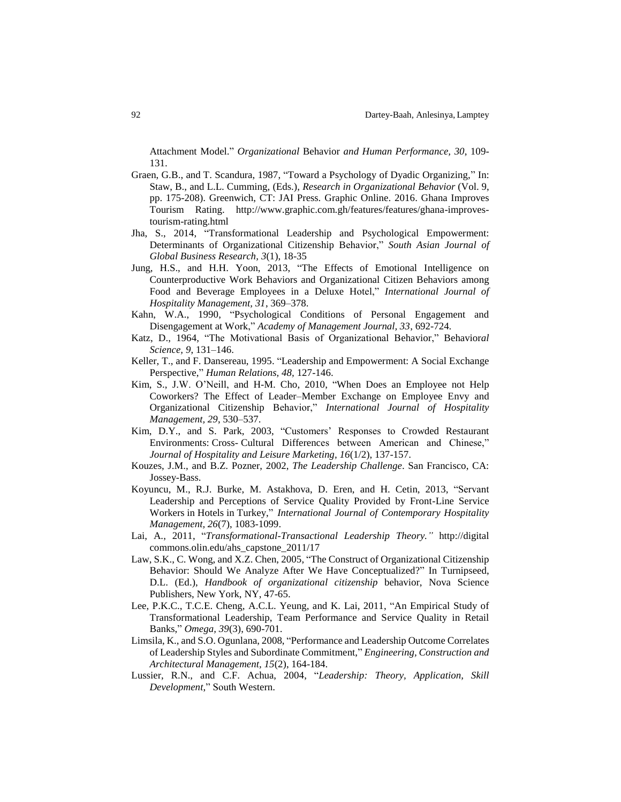Attachment Model." *Organizational* Behavior *and Human Performance, 30*, 109- 131.

- Graen, G.B., and T. Scandura, 1987, "Toward a Psychology of Dyadic Organizing," In: Staw, B., and L.L. Cumming, (Eds.), *Research in Organizational Behavior* (Vol. 9, pp. 175-208). Greenwich, CT: JAI Press. [Graphic Online.](http://www.graphic.com.gh/) 2016. Ghana Improves Tourism Rating. [http://www.graphic.com.gh/features/features/ghana-improves](http://www.graphic.com.gh/features/features/ghana-improves-tourism-rating.html)[tourism-rating.html](http://www.graphic.com.gh/features/features/ghana-improves-tourism-rating.html)
- Jha, S., 2014, "Transformational Leadership and Psychological Empowerment: Determinants of Organizational Citizenship Behavior," *South Asian Journal of Global Business Research, 3*(1), 18-35
- Jung, H.S., and H.H. Yoon, 2013, "The Effects of Emotional Intelligence on Counterproductive Work Behaviors and Organizational Citizen Behaviors among Food and Beverage Employees in a Deluxe Hotel," *International Journal of Hospitality Management, 31*, 369–378.
- Kahn, W.A., 1990, "Psychological Conditions of Personal Engagement and Disengagement at Work," *Academy of Management Journal, 33*, 692-724.
- Katz, D., 1964, "The Motivational Basis of Organizational Behavior," Behavior*al Science, 9*, 131–146.
- Keller, T., and F. Dansereau, 1995. "Leadership and Empowerment: A Social Exchange Perspective," *Human Relations, 48,* 127-146.
- Kim, S., J.W. O'Neill, and H-M. Cho, 2010, "When Does an Employee not Help Coworkers? The Effect of Leader–Member Exchange on Employee Envy and Organizational Citizenship Behavior," *International Journal of Hospitality Management, 29*, 530–537.
- Kim, D.Y., and S. Park, 2003, "Customers' Responses to Crowded Restaurant Environments: Cross- Cultural Differences between American and Chinese," *Journal of Hospitality and Leisure Marketing, 16*(1/2), 137-157.
- Kouzes, J.M., and B.Z. Pozner, 2002, *The Leadership Challenge*. San Francisco, CA: Jossey-Bass.
- Koyuncu, M., R.J. Burke, M. Astakhova, D. Eren, and H. Cetin, 2013, "Servant Leadership and Perceptions of Service Quality Provided by Front-Line Service Workers in Hotels in Turkey," *International Journal of Contemporary Hospitality Management, 26*(7), 1083-1099.
- Lai, A., 2011, "*Transformational-Transactional Leadership Theory."* http://digital commons.olin.edu/ahs\_capstone\_2011/17
- Law, S.K., C. Wong, and X.Z. Chen, 2005, "The Construct of Organizational Citizenship Behavior: Should We Analyze After We Have Conceptualized?" In Turnipseed, D.L. (Ed.), *Handbook of organizational citizenship* behavior, Nova Science Publishers, New York, NY, 47-65.
- Lee, P.K.C., T.C.E. Cheng, A.C.L. Yeung, and K. Lai, 2011, "An Empirical Study of Transformational Leadership, Team Performance and Service Quality in Retail Banks," *Omega, 39*(3), 690-701.
- Limsila, K., and S.O. Ogunlana, 2008, "Performance and Leadership Outcome Correlates of Leadership Styles and Subordinate Commitment," *Engineering, Construction and Architectural Management, 15*(2), 164-184.
- Lussier, R.N., and C.F. Achua, 2004, "*Leadership: Theory, Application, Skill Development*," South Western.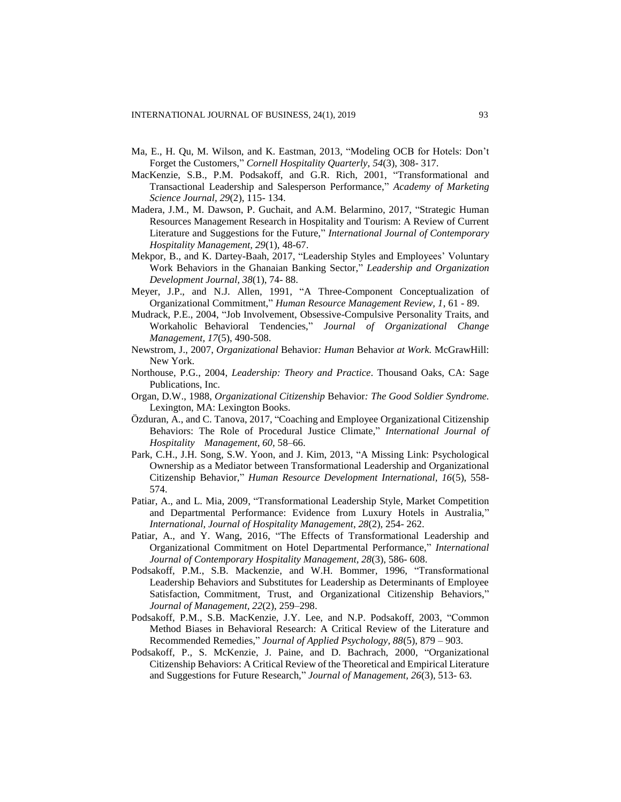- Ma, E., H. Qu, M. Wilson, and K. Eastman, 2013, "Modeling OCB for Hotels: Don't Forget the Customers," *Cornell Hospitality Quarterly*, *54*(3), 308- 317.
- MacKenzie, S.B., P.M. Podsakoff, and G.R. Rich, 2001, "Transformational and Transactional Leadership and Salesperson Performance," *Academy of Marketing Science Journal, 29*(2), 115- 134.
- Madera, J.M., M. Dawson, P. Guchait, and A.M. Belarmino, 2017, "Strategic Human Resources Management Research in Hospitality and Tourism: A Review of Current Literature and Suggestions for the Future," *International Journal of Contemporary Hospitality Management, 29*(1), 48-67.
- Mekpor, B., and K. Dartey-Baah, 2017, "Leadership Styles and Employees' Voluntary Work Behaviors in the Ghanaian Banking Sector," *Leadership and Organization Development Journal, 38*(1), 74- 88.
- Meyer, J.P., and N.J. Allen, 1991, "A Three-Component Conceptualization of Organizational Commitment," *Human Resource Management Review, 1*, 61 - 89.
- Mudrack, P.E., 2004, "Job Involvement, Obsessive-Compulsive Personality Traits, and Workaholic Behavioral Tendencies," *Journal of Organizational Change Management, 17*(5), 490-508.
- Newstrom, J., 2007, *Organizational* Behavior*: Human* Behavior *at Work.* McGrawHill: New York.
- Northouse, P.G., 2004, *Leadership: Theory and Practice*. Thousand Oaks, CA: Sage Publications, Inc.
- Organ, D.W., 1988, *Organizational Citizenship* Behavior*: The Good Soldier Syndrome.* Lexington, MA: Lexington Books.
- Özduran, A., and C. Tanova, 2017, "Coaching and Employee Organizational Citizenship Behaviors: The Role of Procedural Justice Climate," *International Journal of Hospitality Management, 60,* 58–66.
- Park, C.H., J.H. Song, S.W. Yoon, and J. Kim, 2013, "A Missing Link: Psychological Ownership as a Mediator between Transformational Leadership and Organizational Citizenship Behavior," *Human Resource Development International, 16*(5), 558- 574.
- Patiar, A., and L. Mia, 2009, "Transformational Leadership Style, Market Competition and Departmental Performance: Evidence from Luxury Hotels in Australia," *International, Journal of Hospitality Management*, *28*(2), 254- 262.
- Patiar, A., and Y. Wang, 2016, "The Effects of Transformational Leadership and Organizational Commitment on Hotel Departmental Performance," *International Journal of Contemporary Hospitality Management, 28*(3), 586- 608.
- Podsakoff, P.M., S.B. Mackenzie, and W.H. Bommer, 1996, "Transformational Leadership Behaviors and Substitutes for Leadership as Determinants of Employee Satisfaction, Commitment, Trust, and Organizational Citizenship Behaviors," *Journal of Management, 22*(2), 259–298.
- Podsakoff, P.M., S.B. MacKenzie, J.Y. Lee, and N.P. Podsakoff, 2003, "Common Method Biases in Behavioral Research: A Critical Review of the Literature and Recommended Remedies," *Journal of Applied Psychology, 88*(5), 879 – 903.
- Podsakoff, P., S. McKenzie, J. Paine, and D. Bachrach, 2000, "Organizational Citizenship Behaviors: A Critical Review of the Theoretical and Empirical Literature and Suggestions for Future Research," *Journal of Management, 26*(3), 513- 63.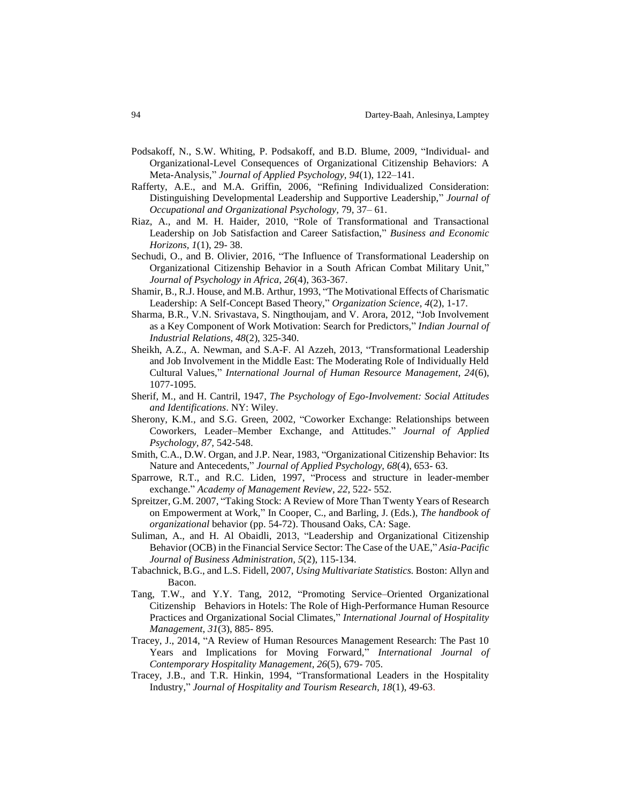- Podsakoff, N., S.W. Whiting, P. Podsakoff, and B.D. Blume, 2009, "Individual- and Organizational-Level Consequences of Organizational Citizenship Behaviors: A Meta-Analysis," *Journal of Applied Psychology, 94*(1), 122–141.
- Rafferty, A.E., and M.A. Griffin, 2006, "Refining Individualized Consideration: Distinguishing Developmental Leadership and Supportive Leadership," *Journal of Occupational and Organizational Psychology,* 79*,* 37– 61.
- Riaz, A., and M. H. Haider, 2010, "Role of Transformational and Transactional Leadership on Job Satisfaction and Career Satisfaction," *Business and Economic Horizons, 1*(1), 29- 38.
- Sechudi, O., and B. Olivier, 2016, "The Influence of Transformational Leadership on Organizational Citizenship Behavior in a South African Combat Military Unit," *Journal of Psychology in Africa, 26*(4), 363-367.
- Shamir, B., R.J. House, and M.B. Arthur, 1993, "The Motivational Effects of Charismatic Leadership: A Self-Concept Based Theory," *Organization Science, 4*(2), 1-17.
- Sharma, B.R., V.N. Srivastava, S. Ningthoujam, and V. Arora, 2012, "Job Involvement as a Key Component of Work Motivation: Search for Predictors," *Indian Journal of Industrial Relations, 48*(2), 325-340.
- Sheikh, A.Z., A. Newman, and S.A-F. Al Azzeh, 2013, "Transformational Leadership and Job Involvement in the Middle East: The Moderating Role of Individually Held Cultural Values," *International Journal of Human Resource Management, 24*(6), 1077-1095.
- Sherif, M., and H. Cantril, 1947, *The Psychology of Ego-Involvement: Social Attitudes and Identifications*. NY: Wiley.
- Sherony, K.M., and S.G. Green, 2002, "Coworker Exchange: Relationships between Coworkers, Leader–Member Exchange, and Attitudes." *Journal of Applied Psychology, 87,* 542-548.
- Smith, C.A., D.W. Organ, and J.P. Near, 1983, "Organizational Citizenship Behavior: Its Nature and Antecedents," *Journal of Applied Psychology, 68*(4), 653- 63.
- Sparrowe, R.T., and R.C. Liden, 1997, "Process and structure in leader-member exchange." *Academy of Management Review*, *22*, 522- 552.
- Spreitzer, G.M. 2007, "Taking Stock: A Review of More Than Twenty Years of Research on Empowerment at Work," In Cooper, C., and Barling, J. (Eds.), *The handbook of organizational* behavior (pp. 54-72). Thousand Oaks, CA: Sage.
- Suliman, A., and H. Al Obaidli, 2013, "Leadership and Organizational Citizenship Behavior (OCB) in the Financial Service Sector: The Case of the UAE," *Asia-Pacific Journal of Business Administration, 5*(2), 115-134.
- Tabachnick, B.G., and L.S. Fidell, 2007, *Using Multivariate Statistics.* Boston: Allyn and Bacon.
- Tang, T.W., and Y.Y. Tang, 2012, "Promoting Service–Oriented Organizational Citizenship Behaviors in Hotels: The Role of High-Performance Human Resource Practices and Organizational Social Climates," *International Journal of Hospitality Management*, *31*(3), 885- 895.
- Tracey, J., 2014, "A Review of Human Resources Management Research: The Past 10 Years and Implications for Moving Forward," *International Journal of Contemporary Hospitality Management*, *26*(5), 679- 705.
- Tracey, J.B., and T.R. Hinkin, 1994, "Transformational Leaders in the Hospitality Industry," *Journal of Hospitality and Tourism Research, 18*(1), 49-63.